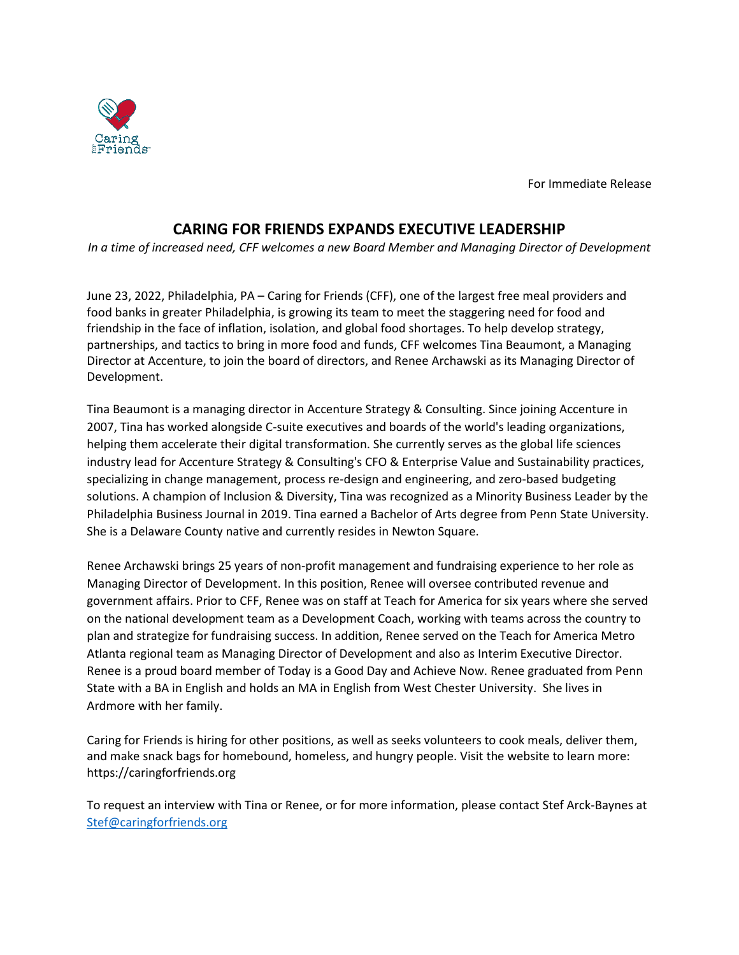For Immediate Release

## **CARING FOR FRIENDS EXPANDS EXECUTIVE LEADERSHIP**

*In a time of increased need, CFF welcomes a new Board Member and Managing Director of Development*

June 23, 2022, Philadelphia, PA – Caring for Friends (CFF), one of the largest free meal providers and food banks in greater Philadelphia, is growing its team to meet the staggering need for food and friendship in the face of inflation, isolation, and global food shortages. To help develop strategy, partnerships, and tactics to bring in more food and funds, CFF welcomes Tina Beaumont, a Managing Director at Accenture, to join the board of directors, and Renee Archawski as its Managing Director of Development.

Tina Beaumont is a managing director in Accenture Strategy & Consulting. Since joining Accenture in 2007, Tina has worked alongside C-suite executives and boards of the world's leading organizations, helping them accelerate their digital transformation. She currently serves as the global life sciences industry lead for Accenture Strategy & Consulting's CFO & Enterprise Value and Sustainability practices, specializing in change management, process re-design and engineering, and zero-based budgeting solutions. A champion of Inclusion & Diversity, Tina was recognized as a Minority Business Leader by the Philadelphia Business Journal in 2019. Tina earned a Bachelor of Arts degree from Penn State University. She is a Delaware County native and currently resides in Newton Square.

Renee Archawski brings 25 years of non-profit management and fundraising experience to her role as Managing Director of Development. In this position, Renee will oversee contributed revenue and government affairs. Prior to CFF, Renee was on staff at Teach for America for six years where she served on the national development team as a Development Coach, working with teams across the country to plan and strategize for fundraising success. In addition, Renee served on the Teach for America Metro Atlanta regional team as Managing Director of Development and also as Interim Executive Director. Renee is a proud board member of Today is a Good Day and Achieve Now. Renee graduated from Penn State with a BA in English and holds an MA in English from West Chester University. She lives in Ardmore with her family.

Caring for Friends is hiring for other positions, as well as seeks volunteers to cook meals, deliver them, and make snack bags for homebound, homeless, and hungry people. Visit the website to learn more: https://caringforfriends.org

To request an interview with Tina or Renee, or for more information, please contact Stef Arck-Baynes at [Stef@caringforfriends.org](mailto:Stef@caringforfriends.org)